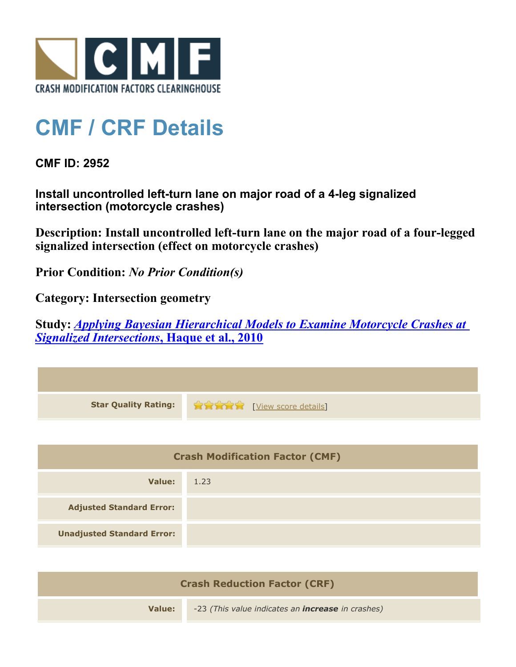

## **CMF / CRF Details**

**CMF ID: 2952**

**Install uncontrolled left-turn lane on major road of a 4-leg signalized intersection (motorcycle crashes)**

**Description: Install uncontrolled left-turn lane on the major road of a four-legged signalized intersection (effect on motorcycle crashes)**

**Prior Condition:** *No Prior Condition(s)*

**Category: Intersection geometry**

**Study:** *[Applying Bayesian Hierarchical Models to Examine Motorcycle Crashes at](http://www.cmfclearinghouse.org/study_detail.cfm?stid=201) [Signalized Intersections](http://www.cmfclearinghouse.org/study_detail.cfm?stid=201)***[, Haque et al., 2010](http://www.cmfclearinghouse.org/study_detail.cfm?stid=201)**

| <b>Star Quality Rating:</b>            | <b>THE TABLE IN THE TABLE IS THE TABLE IS TO A TABLE IS TO A TABLE IS A TABLE IS A TABLE IS A TABLE IS A TABLE IS A TABLE IS A TABLE IS A TABLE IS A TABLE IS A TABLE IS A TABLE IS A TABLE IS A TABLE IS A TABLE IS A TABLE IS </b> |
|----------------------------------------|--------------------------------------------------------------------------------------------------------------------------------------------------------------------------------------------------------------------------------------|
|                                        |                                                                                                                                                                                                                                      |
| <b>Crash Modification Factor (CMF)</b> |                                                                                                                                                                                                                                      |
| <b>Value:</b>                          | 1.23                                                                                                                                                                                                                                 |
| <b>Adjusted Standard Error:</b>        |                                                                                                                                                                                                                                      |
| <b>Unadjusted Standard Error:</b>      |                                                                                                                                                                                                                                      |
|                                        |                                                                                                                                                                                                                                      |

| <b>Crash Reduction Factor (CRF)</b> |                                                          |
|-------------------------------------|----------------------------------------------------------|
| Value:                              | -23 (This value indicates an <b>increase</b> in crashes) |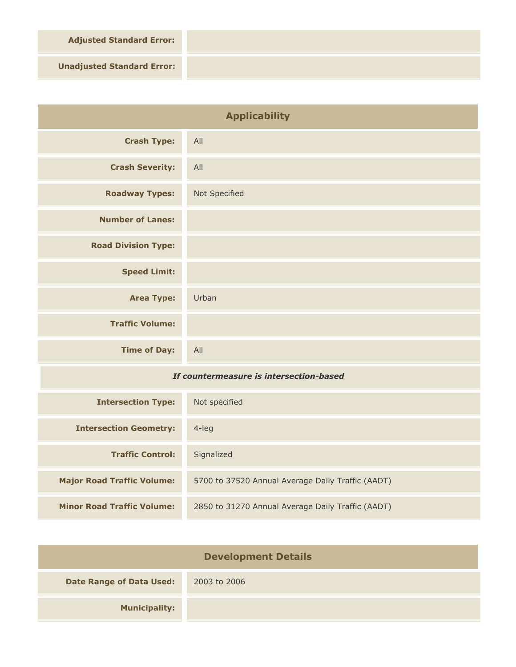**Adjusted Standard Error:**

**Unadjusted Standard Error:**

| <b>Applicability</b>       |               |
|----------------------------|---------------|
| <b>Crash Type:</b>         | All           |
| <b>Crash Severity:</b>     | All           |
| <b>Roadway Types:</b>      | Not Specified |
| <b>Number of Lanes:</b>    |               |
| <b>Road Division Type:</b> |               |
| <b>Speed Limit:</b>        |               |
| <b>Area Type:</b>          | Urban         |
| <b>Traffic Volume:</b>     |               |
| <b>Time of Day:</b>        | All           |
|                            |               |

## *If countermeasure is intersection-based*

| <b>Intersection Type:</b>         | Not specified                                     |
|-----------------------------------|---------------------------------------------------|
| <b>Intersection Geometry:</b>     | $4$ -leg                                          |
| <b>Traffic Control:</b>           | Signalized                                        |
| <b>Major Road Traffic Volume:</b> | 5700 to 37520 Annual Average Daily Traffic (AADT) |
| <b>Minor Road Traffic Volume:</b> | 2850 to 31270 Annual Average Daily Traffic (AADT) |

| <b>Development Details</b>      |              |
|---------------------------------|--------------|
| <b>Date Range of Data Used:</b> | 2003 to 2006 |
| <b>Municipality:</b>            |              |